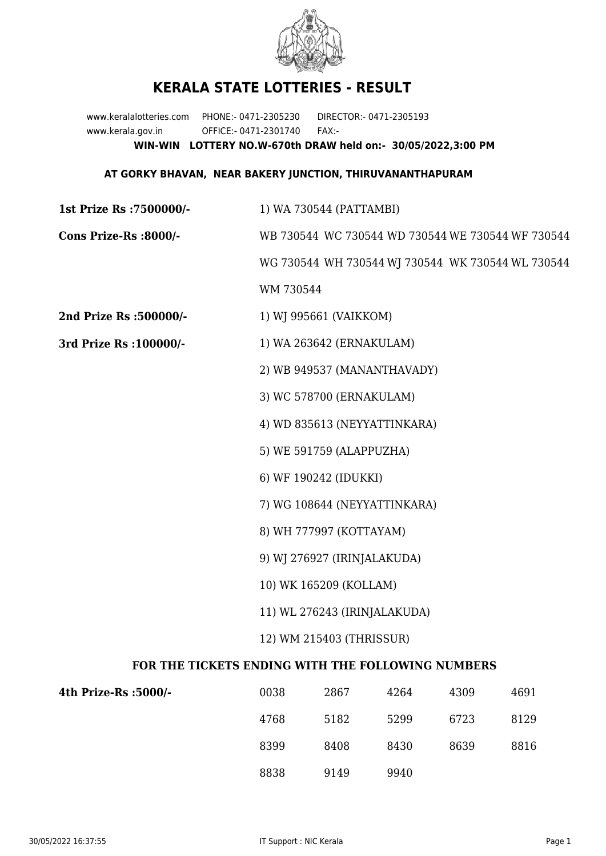

## **KERALA STATE LOTTERIES - RESULT**

www.keralalotteries.com PHONE:- 0471-2305230 DIRECTOR:- 0471-2305193 www.kerala.gov.in OFFICE:- 0471-2301740 FAX:- **WIN-WIN LOTTERY NO.W-670th DRAW held on:- 30/05/2022,3:00 PM**

## **AT GORKY BHAVAN, NEAR BAKERY JUNCTION, THIRUVANANTHAPURAM**

**1st Prize Rs :7500000/-** 1) WA 730544 (PATTAMBI) **Cons Prize-Rs :8000/-** WB 730544 WC 730544 WD 730544 WE 730544 WF 730544 WG 730544 WH 730544 WJ 730544 WK 730544 WL 730544 WM 730544 **2nd Prize Rs :500000/-** 1) WJ 995661 (VAIKKOM) **3rd Prize Rs :100000/-** 1) WA 263642 (ERNAKULAM) 2) WB 949537 (MANANTHAVADY) 3) WC 578700 (ERNAKULAM) 4) WD 835613 (NEYYATTINKARA) 5) WE 591759 (ALAPPUZHA) 6) WF 190242 (IDUKKI) 7) WG 108644 (NEYYATTINKARA) 8) WH 777997 (KOTTAYAM) 9) WJ 276927 (IRINJALAKUDA) 10) WK 165209 (KOLLAM) 11) WL 276243 (IRINJALAKUDA) 12) WM 215403 (THRISSUR) **FOR THE TICKETS ENDING WITH THE FOLLOWING NUMBERS**

| 4th Prize-Rs :5000/- | 0038 | 2867 | 4264 | 4309 | 4691 |
|----------------------|------|------|------|------|------|
|                      | 4768 | 5182 | 5299 | 6723 | 8129 |
|                      | 8399 | 8408 | 8430 | 8639 | 8816 |
|                      | 8838 | 9149 | 9940 |      |      |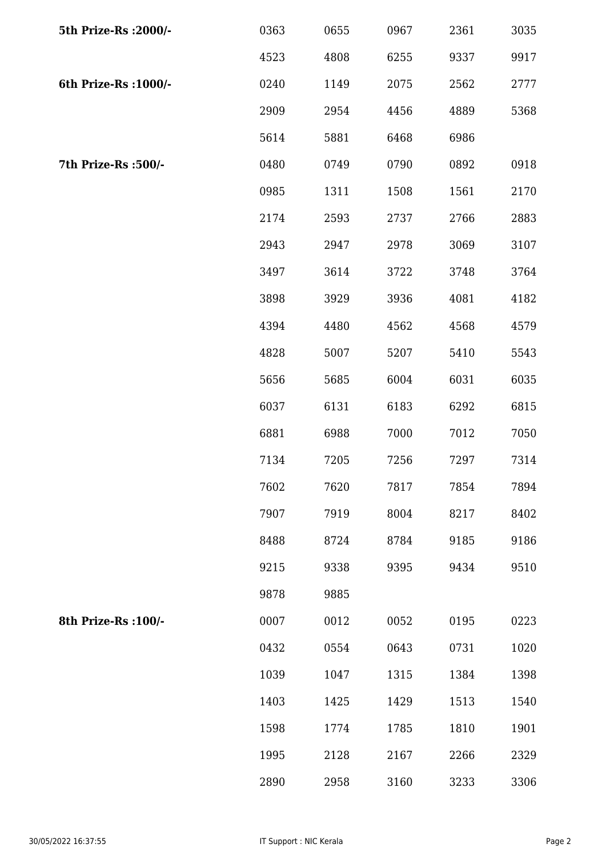| 5th Prize-Rs : 2000/- | 0363 | 0655 | 0967 | 2361 | 3035 |
|-----------------------|------|------|------|------|------|
|                       | 4523 | 4808 | 6255 | 9337 | 9917 |
| 6th Prize-Rs : 1000/- | 0240 | 1149 | 2075 | 2562 | 2777 |
|                       | 2909 | 2954 | 4456 | 4889 | 5368 |
|                       | 5614 | 5881 | 6468 | 6986 |      |
| 7th Prize-Rs :500/-   | 0480 | 0749 | 0790 | 0892 | 0918 |
|                       | 0985 | 1311 | 1508 | 1561 | 2170 |
|                       | 2174 | 2593 | 2737 | 2766 | 2883 |
|                       | 2943 | 2947 | 2978 | 3069 | 3107 |
|                       | 3497 | 3614 | 3722 | 3748 | 3764 |
|                       | 3898 | 3929 | 3936 | 4081 | 4182 |
|                       | 4394 | 4480 | 4562 | 4568 | 4579 |
|                       | 4828 | 5007 | 5207 | 5410 | 5543 |
|                       | 5656 | 5685 | 6004 | 6031 | 6035 |
|                       | 6037 | 6131 | 6183 | 6292 | 6815 |
|                       | 6881 | 6988 | 7000 | 7012 | 7050 |
|                       | 7134 | 7205 | 7256 | 7297 | 7314 |
|                       | 7602 | 7620 | 7817 | 7854 | 7894 |
|                       | 7907 | 7919 | 8004 | 8217 | 8402 |
|                       | 8488 | 8724 | 8784 | 9185 | 9186 |
|                       | 9215 | 9338 | 9395 | 9434 | 9510 |
|                       | 9878 | 9885 |      |      |      |
| 8th Prize-Rs : 100/-  | 0007 | 0012 | 0052 | 0195 | 0223 |
|                       | 0432 | 0554 | 0643 | 0731 | 1020 |
|                       | 1039 | 1047 | 1315 | 1384 | 1398 |
|                       | 1403 | 1425 | 1429 | 1513 | 1540 |
|                       | 1598 | 1774 | 1785 | 1810 | 1901 |
|                       | 1995 | 2128 | 2167 | 2266 | 2329 |
|                       | 2890 | 2958 | 3160 | 3233 | 3306 |